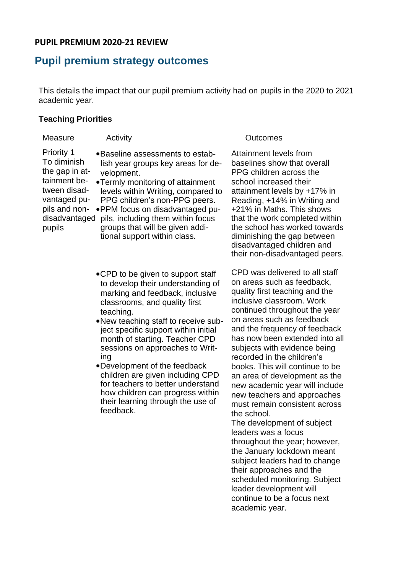# **PUPIL PREMIUM 2020-21 REVIEW**

# **Pupil premium strategy outcomes**

This details the impact that our pupil premium activity had on pupils in the 2020 to 2021 academic year.

### **Teaching Priorities**

| Measure                                                                                                                                        | Activity                                                                                                                                                                                                                                                                                                                                   | Outcomes                                                                                                                                                                                                                                                                                                                                                                  |
|------------------------------------------------------------------------------------------------------------------------------------------------|--------------------------------------------------------------------------------------------------------------------------------------------------------------------------------------------------------------------------------------------------------------------------------------------------------------------------------------------|---------------------------------------------------------------------------------------------------------------------------------------------------------------------------------------------------------------------------------------------------------------------------------------------------------------------------------------------------------------------------|
| <b>Priority 1</b><br>To diminish<br>the gap in at-<br>tainment be-<br>tween disad-<br>vantaged pu-<br>pils and non-<br>disadvantaged<br>pupils | •Baseline assessments to estab-<br>lish year groups key areas for de-<br>velopment.<br>•Termly monitoring of attainment<br>levels within Writing, compared to<br>PPG children's non-PPG peers.<br>. PPM focus on disadvantaged pu-<br>pils, including them within focus<br>groups that will be given addi-<br>tional support within class. | Attainment levels from<br>baselines show that overall<br>PPG children across the<br>school increased their<br>attainment levels by +17% in<br>Reading, +14% in Writing and<br>+21% in Maths. This shows<br>that the work completed within<br>the school has worked towards<br>diminishing the gap between<br>disadvantaged children and<br>their non-disadvantaged peers. |

- •CPD to be given to support staff to develop their understanding of marking and feedback, inclusive classrooms, and quality first teaching.
- •New teaching staff to receive subject specific support within initial month of starting. Teacher CPD sessions on approaches to Writing
- •Development of the feedback children are given including CPD for teachers to better understand how children can progress within their learning through the use of feedback.

CPD was delivered to all staff on areas such as feedback, quality first teaching and the inclusive classroom. Work continued throughout the year on areas such as feedback and the frequency of feedback has now been extended into all subjects with evidence being recorded in the children's books. This will continue to be an area of development as the new academic year will include new teachers and approaches must remain consistent across the school.

The development of subject leaders was a focus throughout the year; however, the January lockdown meant subject leaders had to change their approaches and the scheduled monitoring. Subject leader development will continue to be a focus next academic year.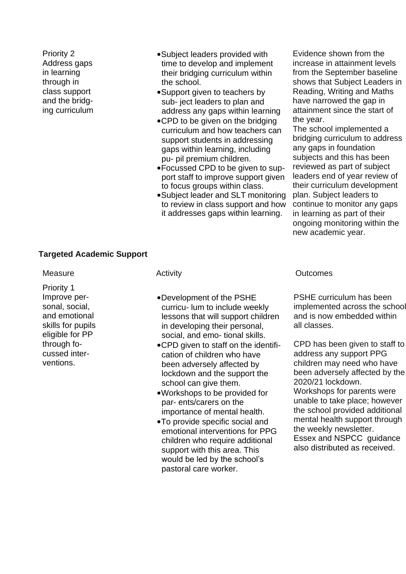Priority 2 Address gaps in learning through in class support and the bridging curriculum

- •Subject leaders provided with time to develop and implement their bridging curriculum within the school.
- •Support given to teachers by sub- ject leaders to plan and address any gaps within learning
- •CPD to be given on the bridging curriculum and how teachers can support students in addressing gaps within learning, including pu- pil premium children.
- •Focussed CPD to be given to support staff to improve support given to focus groups within class.
- •Subject leader and SLT monitoring to review in class support and how it addresses gaps within learning.

Evidence shown from the increase in attainment levels from the September baseline shows that Subject Leaders in Reading, Writing and Maths have narrowed the gap in attainment since the start of the year.

The school implemented a bridging curriculum to address any gaps in foundation subjects and this has been reviewed as part of subject leaders end of year review of their curriculum development plan. Subject leaders to continue to monitor any gaps in learning as part of their ongoing monitoring within the new academic year.

# **Targeted Academic Support**

Priority 1 Improve personal, social, and emotional skills for pupils eligible for PP through focussed interventions.

- •Development of the PSHE curricu- lum to include weekly lessons that will support children in developing their personal, social, and emo- tional skills.
- •CPD given to staff on the identification of children who have been adversely affected by lockdown and the support the school can give them.
- •Workshops to be provided for par- ents/carers on the importance of mental health.
- •To provide specific social and emotional interventions for PPG children who require additional support with this area. This would be led by the school's pastoral care worker.

### Measure **Activity** Activity **CONFERGIATES** Outcomes

PSHE curriculum has been implemented across the school and is now embedded within all classes.

CPD has been given to staff to address any support PPG children may need who have been adversely affected by the 2020/21 lockdown. Workshops for parents were unable to take place; however the school provided additional mental health support through the weekly newsletter. Essex and NSPCC guidance also distributed as received.